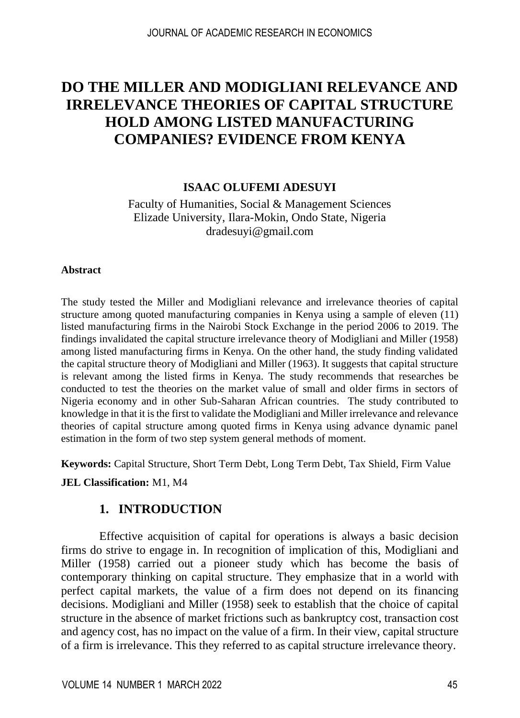# **DO THE MILLER AND MODIGLIANI RELEVANCE AND IRRELEVANCE THEORIES OF CAPITAL STRUCTURE HOLD AMONG LISTED MANUFACTURING COMPANIES? EVIDENCE FROM KENYA**

# **ISAAC OLUFEMI ADESUYI**

Faculty of Humanities, Social & Management Sciences Elizade University, Ilara-Mokin, Ondo State, Nigeria dradesuyi@gmail.com

#### **Abstract**

The study tested the Miller and Modigliani relevance and irrelevance theories of capital structure among quoted manufacturing companies in Kenya using a sample of eleven (11) listed manufacturing firms in the Nairobi Stock Exchange in the period 2006 to 2019. The findings invalidated the capital structure irrelevance theory of Modigliani and Miller (1958) among listed manufacturing firms in Kenya. On the other hand, the study finding validated the capital structure theory of Modigliani and Miller (1963). It suggests that capital structure is relevant among the listed firms in Kenya. The study recommends that researches be conducted to test the theories on the market value of small and older firms in sectors of Nigeria economy and in other Sub-Saharan African countries. The study contributed to knowledge in that it is the first to validate the Modigliani and Miller irrelevance and relevance theories of capital structure among quoted firms in Kenya using advance dynamic panel estimation in the form of two step system general methods of moment.

**Keywords:** Capital Structure, Short Term Debt, Long Term Debt, Tax Shield, Firm Value

#### **JEL Classification:** M1, M4

# **1. INTRODUCTION**

Effective acquisition of capital for operations is always a basic decision firms do strive to engage in. In recognition of implication of this, Modigliani and Miller (1958) carried out a pioneer study which has become the basis of contemporary thinking on capital structure. They emphasize that in a world with perfect capital markets, the value of a firm does not depend on its financing decisions. Modigliani and Miller (1958) seek to establish that the choice of capital structure in the absence of market frictions such as bankruptcy cost, transaction cost and agency cost, has no impact on the value of a firm. In their view, capital structure of a firm is irrelevance. This they referred to as capital structure irrelevance theory.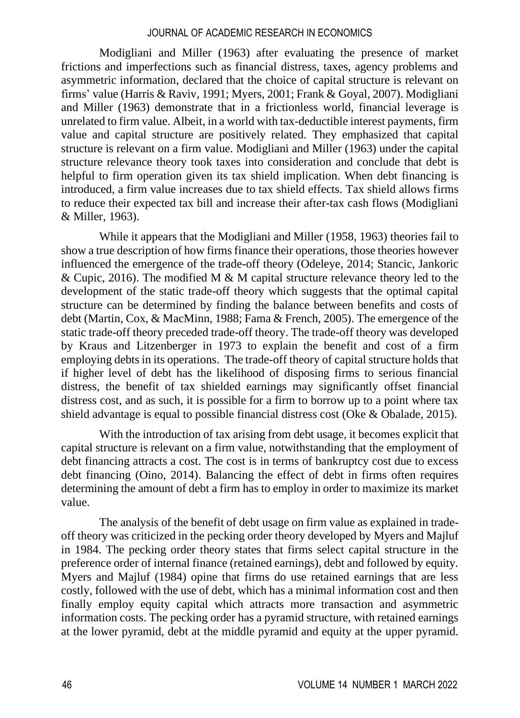Modigliani and Miller (1963) after evaluating the presence of market frictions and imperfections such as financial distress, taxes, agency problems and asymmetric information, declared that the choice of capital structure is relevant on firms' value (Harris & Raviv, 1991; Myers, 2001; Frank & Goyal, 2007). Modigliani and Miller (1963) demonstrate that in a frictionless world, financial leverage is unrelated to firm value. Albeit, in a world with tax-deductible interest payments, firm value and capital structure are positively related. They emphasized that capital structure is relevant on a firm value. Modigliani and Miller (1963) under the capital structure relevance theory took taxes into consideration and conclude that debt is helpful to firm operation given its tax shield implication. When debt financing is introduced, a firm value increases due to tax shield effects. Tax shield allows firms to reduce their expected tax bill and increase their after-tax cash flows (Modigliani & Miller, 1963).

While it appears that the Modigliani and Miller (1958, 1963) theories fail to show a true description of how firms finance their operations, those theories however influenced the emergence of the trade-off theory (Odeleye, 2014; Stancic, Jankoric & Cupic, 2016). The modified M & M capital structure relevance theory led to the development of the static trade-off theory which suggests that the optimal capital structure can be determined by finding the balance between benefits and costs of debt (Martin, Cox, & MacMinn, 1988; Fama & French, 2005). The emergence of the static trade-off theory preceded trade-off theory. The trade-off theory was developed by Kraus and Litzenberger in 1973 to explain the benefit and cost of a firm employing debts in its operations. The trade-off theory of capital structure holds that if higher level of debt has the likelihood of disposing firms to serious financial distress, the benefit of tax shielded earnings may significantly offset financial distress cost, and as such, it is possible for a firm to borrow up to a point where tax shield advantage is equal to possible financial distress cost (Oke & Obalade, 2015).

With the introduction of tax arising from debt usage, it becomes explicit that capital structure is relevant on a firm value, notwithstanding that the employment of debt financing attracts a cost. The cost is in terms of bankruptcy cost due to excess debt financing (Oino, 2014). Balancing the effect of debt in firms often requires determining the amount of debt a firm has to employ in order to maximize its market value.

The analysis of the benefit of debt usage on firm value as explained in tradeoff theory was criticized in the pecking order theory developed by Myers and Majluf in 1984. The pecking order theory states that firms select capital structure in the preference order of internal finance (retained earnings), debt and followed by equity. Myers and Majluf (1984) opine that firms do use retained earnings that are less costly, followed with the use of debt, which has a minimal information cost and then finally employ equity capital which attracts more transaction and asymmetric information costs. The pecking order has a pyramid structure, with retained earnings at the lower pyramid, debt at the middle pyramid and equity at the upper pyramid.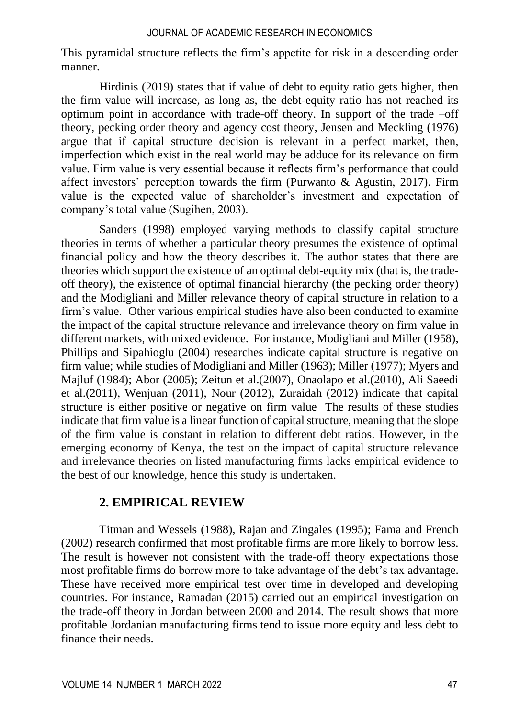This pyramidal structure reflects the firm's appetite for risk in a descending order manner.

Hirdinis (2019) states that if value of debt to equity ratio gets higher, then the firm value will increase, as long as, the debt-equity ratio has not reached its optimum point in accordance with trade-off theory. In support of the trade –off theory, pecking order theory and agency cost theory, Jensen and Meckling (1976) argue that if capital structure decision is relevant in a perfect market, then, imperfection which exist in the real world may be adduce for its relevance on firm value. Firm value is very essential because it reflects firm's performance that could affect investors' perception towards the firm (Purwanto & Agustin, 2017). Firm value is the expected value of shareholder's investment and expectation of company's total value (Sugihen, 2003).

Sanders (1998) employed varying methods to classify capital structure theories in terms of whether a particular theory presumes the existence of optimal financial policy and how the theory describes it. The author states that there are theories which support the existence of an optimal debt-equity mix (that is, the tradeoff theory), the existence of optimal financial hierarchy (the pecking order theory) and the Modigliani and Miller relevance theory of capital structure in relation to a firm's value. Other various empirical studies have also been conducted to examine the impact of the capital structure relevance and irrelevance theory on firm value in different markets, with mixed evidence. For instance, Modigliani and Miller (1958), Phillips and Sipahioglu (2004) researches indicate capital structure is negative on firm value; while studies of Modigliani and Miller (1963); Miller (1977); Myers and Majluf (1984); Abor (2005); Zeitun et al.(2007), Onaolapo et al.(2010), Ali Saeedi et al.(2011), Wenjuan (2011), Nour (2012), Zuraidah (2012) indicate that capital structure is either positive or negative on firm value The results of these studies indicate that firm value is a linear function of capital structure, meaning that the slope of the firm value is constant in relation to different debt ratios. However, in the emerging economy of Kenya, the test on the impact of capital structure relevance and irrelevance theories on listed manufacturing firms lacks empirical evidence to the best of our knowledge, hence this study is undertaken.

# **2. EMPIRICAL REVIEW**

Titman and Wessels (1988), Rajan and Zingales (1995); Fama and French (2002) research confirmed that most profitable firms are more likely to borrow less. The result is however not consistent with the trade-off theory expectations those most profitable firms do borrow more to take advantage of the debt's tax advantage. These have received more empirical test over time in developed and developing countries. For instance, Ramadan (2015) carried out an empirical investigation on the trade-off theory in Jordan between 2000 and 2014. The result shows that more profitable Jordanian manufacturing firms tend to issue more equity and less debt to finance their needs.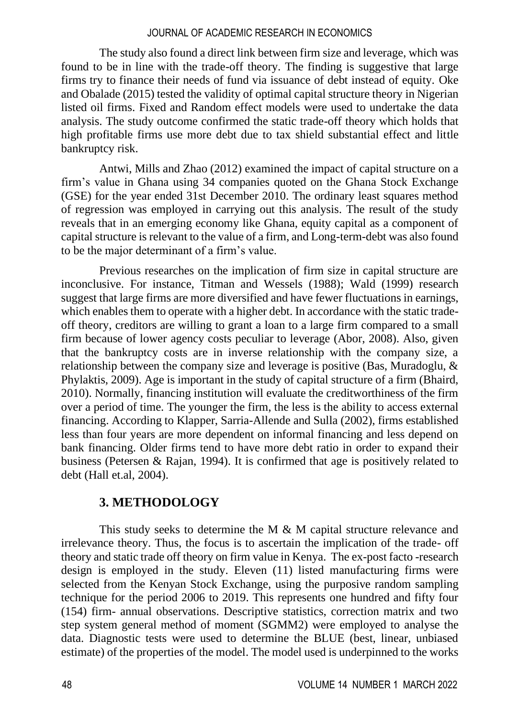The study also found a direct link between firm size and leverage, which was found to be in line with the trade-off theory. The finding is suggestive that large firms try to finance their needs of fund via issuance of debt instead of equity. Oke and Obalade (2015) tested the validity of optimal capital structure theory in Nigerian listed oil firms. Fixed and Random effect models were used to undertake the data analysis. The study outcome confirmed the static trade-off theory which holds that high profitable firms use more debt due to tax shield substantial effect and little bankruptcy risk.

Antwi, Mills and Zhao (2012) examined the impact of capital structure on a firm's value in Ghana using 34 companies quoted on the Ghana Stock Exchange (GSE) for the year ended 31st December 2010. The ordinary least squares method of regression was employed in carrying out this analysis. The result of the study reveals that in an emerging economy like Ghana, equity capital as a component of capital structure is relevant to the value of a firm, and Long-term-debt was also found to be the major determinant of a firm's value.

Previous researches on the implication of firm size in capital structure are inconclusive. For instance, Titman and Wessels (1988); Wald (1999) research suggest that large firms are more diversified and have fewer fluctuations in earnings, which enables them to operate with a higher debt. In accordance with the static tradeoff theory, creditors are willing to grant a loan to a large firm compared to a small firm because of lower agency costs peculiar to leverage (Abor, 2008). Also, given that the bankruptcy costs are in inverse relationship with the company size, a relationship between the company size and leverage is positive (Bas, Muradoglu, & Phylaktis, 2009). Age is important in the study of capital structure of a firm (Bhaird, 2010). Normally, financing institution will evaluate the creditworthiness of the firm over a period of time. The younger the firm, the less is the ability to access external financing. According to Klapper, Sarria-Allende and Sulla (2002), firms established less than four years are more dependent on informal financing and less depend on bank financing. Older firms tend to have more debt ratio in order to expand their business (Petersen & Rajan, 1994). It is confirmed that age is positively related to debt (Hall et.al, 2004).

# **3. METHODOLOGY**

This study seeks to determine the M & M capital structure relevance and irrelevance theory. Thus, the focus is to ascertain the implication of the trade- off theory and static trade off theory on firm value in Kenya. The ex-post facto -research design is employed in the study. Eleven (11) listed manufacturing firms were selected from the Kenyan Stock Exchange, using the purposive random sampling technique for the period 2006 to 2019. This represents one hundred and fifty four (154) firm- annual observations. Descriptive statistics, correction matrix and two step system general method of moment (SGMM2) were employed to analyse the data. Diagnostic tests were used to determine the BLUE (best, linear, unbiased estimate) of the properties of the model. The model used is underpinned to the works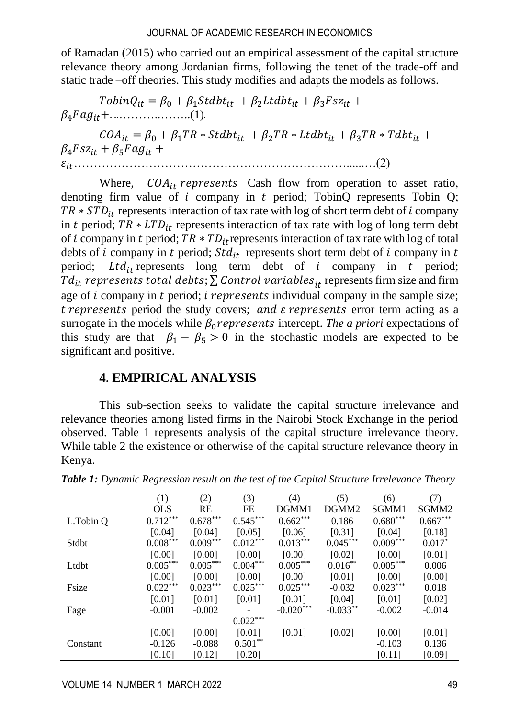of Ramadan (2015) who carried out an empirical assessment of the capital structure relevance theory among Jordanian firms, following the tenet of the trade-off and static trade –off theories. This study modifies and adapts the models as follows.

 $TobinQ_{it} = \beta_0 + \beta_1 Stdbt_{it} + \beta_2 Ltdbt_{it} + \beta_3 Fsz_{it} +$ 4+. ..………..……..(1).

 $COA_{it} = \beta_0 + \beta_1 TR * Stdbt_{it} + \beta_2 TR * Ltdbt_{it} + \beta_3 TR * Tdbt_{it} +$  $\beta_4 F$ sz<sub>it</sub> +  $\beta_5 F$ ag<sub>it</sub> + ……………………………………………………………......…(2)

Where,  $COA_{it}$  represents Cash flow from operation to asset ratio, denoting firm value of  $i$  company in  $t$  period; TobinQ represents Tobin Q;  $TR * STD_{it}$  represents interaction of tax rate with log of short term debt of *i* company in t period;  $TR * LTD_{it}$  represents interaction of tax rate with log of long term debt of *i* company in *t* period;  $TR * TD_{it}$  represents interaction of tax rate with log of total debts of *i* company in *t* period;  $Std_{it}$  represents short term debt of *i* company in *t* period; Ltd<sub>it</sub> represents long term debt of  $i$  company in  $t$  period;  $Td_{it}$  represents total debts;  $\sum$  Control variables<sub>it</sub> represents firm size and firm age of  $i$  company in  $t$  period;  $i$  represents individual company in the sample size; t represents period the study covers; and  $\varepsilon$  represents error term acting as a surrogate in the models while  $\beta_0$  *represents* intercept. *The a priori* expectations of this study are that  $\beta_1 - \beta_5 > 0$  in the stochastic models are expected to be significant and positive.

# **4. EMPIRICAL ANALYSIS**

This sub-section seeks to validate the capital structure irrelevance and relevance theories among listed firms in the Nairobi Stock Exchange in the period observed. Table 1 represents analysis of the capital structure irrelevance theory. While table 2 the existence or otherwise of the capital structure relevance theory in Kenya.

|           | (1)        | (2)        | (3)        | (4)         | (5)        | (6)        | (7)               |
|-----------|------------|------------|------------|-------------|------------|------------|-------------------|
|           | <b>OLS</b> | RE         | FE         | DGMM1       | DGMM2      | SGMM1      | SGMM <sub>2</sub> |
| L.Tobin Q | 0.712      | $0.678***$ | $0.545***$ | $0.662***$  | 0.186      | $0.680***$ | $0.667***$        |
|           | [0.04]     | [0.04]     | [0.05]     | [0.06]      | [0.31]     | [0.04]     | [0.18]            |
| Stdbt     | $0.008***$ | $0.009***$ | $0.012***$ | $0.013***$  | $0.045***$ | $0.009***$ | $0.017*$          |
|           | [0.00]     | [0.00]     | [0.00]     | [0.00]      | [0.02]     | [0.00]     | [0.01]            |
| Ltdbt     | $0.005***$ | $0.005***$ | $0.004***$ | $0.005***$  | $0.016***$ | $0.005***$ | 0.006             |
|           | [0.00]     | [0.00]     | [0.00]     | [0.00]      | [0.01]     | [0.00]     | [0.00]            |
| Fsize     | $0.022***$ | $0.023***$ | $0.025***$ | $0.025***$  | $-0.032$   | $0.023***$ | 0.018             |
|           | [0.01]     | [0.01]     | [0.01]     | [0.01]      | [0.04]     | [0.01]     | [0.02]            |
| Fage      | $-0.001$   | $-0.002$   |            | $-0.020***$ | $-0.033**$ | $-0.002$   | $-0.014$          |
|           |            |            | $0.022***$ |             |            |            |                   |
|           | [0.00]     | [0.00]     | [0.01]     | [0.01]      | [0.02]     | [0.00]     | [0.01]            |
| Constant  | $-0.126$   | $-0.088$   | $0.501**$  |             |            | $-0.103$   | 0.136             |
|           | [0.10]     | [0.12]     | [0.20]     |             |            | [0.11]     | [0.09]            |

*Table 1: Dynamic Regression result on the test of the Capital Structure Irrelevance Theory*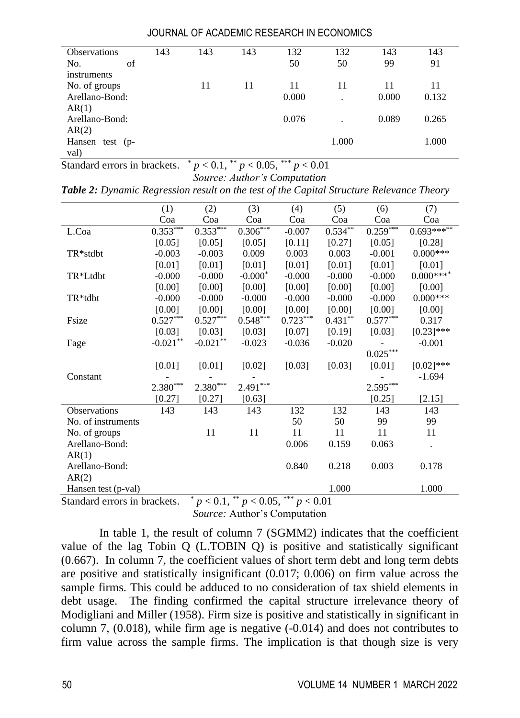| <b>Observations</b>  | 143 | 143 | 143 | 132   | 132   | 143   | 143   |
|----------------------|-----|-----|-----|-------|-------|-------|-------|
| of<br>No.            |     |     |     | 50    | 50    | 99    | 91    |
| instruments          |     |     |     |       |       |       |       |
| No. of groups        |     | 11  | 11  | 11    | 11    | 11    | 11    |
| Arellano-Bond:       |     |     |     | 0.000 | ٠     | 0.000 | 0.132 |
| AR(1)                |     |     |     |       |       |       |       |
| Arellano-Bond:       |     |     |     | 0.076 |       | 0.089 | 0.265 |
| AR(2)                |     |     |     |       |       |       |       |
| Hansen<br>test $(p-$ |     |     |     |       | 1.000 |       | 1.000 |
| val)                 |     |     |     |       |       |       |       |

Standard errors in brackets.  $p < 0.1$ ,  $p < 0.05$ ,  $p > 0.01$ *Source: Author's Computation*

*Table 2: Dynamic Regression result on the test of the Capital Structure Relevance Theory*

|                     | (1)        | (2)                    | (3)        | (4)        | (5)       | (6)                    | (7)            |
|---------------------|------------|------------------------|------------|------------|-----------|------------------------|----------------|
|                     | Coa        | Coa                    | Coa        | Coa        | Coa       | Coa                    | Coa            |
| L.Coa               | $0.353***$ | $0.353***$             | $0.306***$ | $-0.007$   | $0.534**$ | $0.259***$             | $0.693******$  |
|                     | [0.05]     | [0.05]                 | [0.05]     | [0.11]     | [0.27]    | [0.05]                 | [0.28]         |
| TR*stdbt            | $-0.003$   | $-0.003$               | 0.009      | 0.003      | 0.003     | $-0.001$               | $0.000***$     |
|                     | [0.01]     | [0.01]                 | [0.01]     | [0.01]     | [0.01]    | [0.01]                 | [0.01]         |
| TR*Ltdbt            | $-0.000$   | $-0.000$               | $-0.000*$  | $-0.000$   | $-0.000$  | $-0.000$               | $0.000***$ *** |
|                     | [0.00]     | [0.00]                 | [0.00]     | [0.00]     | [0.00]    | [0.00]                 | [0.00]         |
| TR*tdbt             | $-0.000$   | $-0.000$               | $-0.000$   | $-0.000$   | $-0.000$  | $-0.000$               | $0.000***$     |
|                     | [0.00]     | [0.00]                 | [0.00]     | [0.00]     | [0.00]    | [0.00]                 | [0.00]         |
| Fsize               | $0.527***$ | $0.527***$             | $0.548***$ | $0.723***$ | $0.431**$ | $0.577***$             | 0.317          |
|                     | [0.03]     | [0.03]                 | [0.03]     | [0.07]     | [0.19]    | [0.03]                 | $[0.23]$ ***   |
| Fage                | $-0.021**$ | $-0.021**$             | $-0.023$   | $-0.036$   | $-0.020$  |                        | $-0.001$       |
|                     |            |                        |            |            |           | $0.025^{\ast\ast\ast}$ |                |
|                     | [0.01]     | [0.01]                 | [0.02]     | [0.03]     | [0.03]    | [0.01]                 | $[0.02]$ ***   |
| Constant            |            |                        |            |            |           |                        | $-1.694$       |
|                     | $2.380***$ | $2.380^{\ast\ast\ast}$ | $2.491***$ |            |           | $2.595***$             |                |
|                     | [0.27]     | [0.27]                 | [0.63]     |            |           | [0.25]                 | [2.15]         |
| Observations        | 143        | 143                    | 143        | 132        | 132       | 143                    | 143            |
| No. of instruments  |            |                        |            | 50         | 50        | 99                     | 99             |
| No. of groups       |            | 11                     | 11         | 11         | 11        | 11                     | 11             |
| Arellano-Bond:      |            |                        |            | 0.006      | 0.159     | 0.063                  |                |
| AR(1)               |            |                        |            |            |           |                        |                |
| Arellano-Bond:      |            |                        |            | 0.840      | 0.218     | 0.003                  | 0.178          |
| AR(2)               |            |                        |            |            |           |                        |                |
| Hansen test (p-val) |            | $\ast$                 | **         | ***        | 1.000     |                        | 1.000          |

Standard errors in brackets. \* *p* < 0.1, \*\* *p* < 0.05, \*\*\* *p* < 0.01 *Source:* Author's Computation

In table 1, the result of column 7 (SGMM2) indicates that the coefficient value of the lag Tobin Q (L.TOBIN Q) is positive and statistically significant (0.667). In column 7, the coefficient values of short term debt and long term debts are positive and statistically insignificant (0.017; 0.006) on firm value across the sample firms. This could be adduced to no consideration of tax shield elements in debt usage. The finding confirmed the capital structure irrelevance theory of Modigliani and Miller (1958). Firm size is positive and statistically in significant in column 7, (0.018), while firm age is negative (-0.014) and does not contributes to firm value across the sample firms. The implication is that though size is very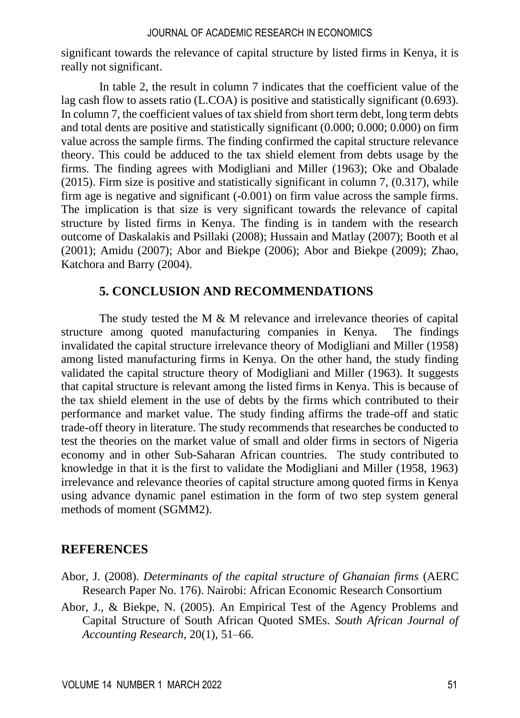significant towards the relevance of capital structure by listed firms in Kenya, it is really not significant.

In table 2, the result in column 7 indicates that the coefficient value of the lag cash flow to assets ratio (L.COA) is positive and statistically significant (0.693). In column 7, the coefficient values of tax shield from short term debt, long term debts and total dents are positive and statistically significant (0.000; 0.000; 0.000) on firm value across the sample firms. The finding confirmed the capital structure relevance theory. This could be adduced to the tax shield element from debts usage by the firms. The finding agrees with Modigliani and Miller (1963); Oke and Obalade (2015). Firm size is positive and statistically significant in column 7, (0.317), while firm age is negative and significant (-0.001) on firm value across the sample firms. The implication is that size is very significant towards the relevance of capital structure by listed firms in Kenya. The finding is in tandem with the research outcome of Daskalakis and Psillaki (2008); Hussain and Matlay (2007); Booth et al (2001); Amidu (2007); Abor and Biekpe (2006); Abor and Biekpe (2009); Zhao, Katchora and Barry (2004).

# **5. CONCLUSION AND RECOMMENDATIONS**

The study tested the M & M relevance and irrelevance theories of capital structure among quoted manufacturing companies in Kenya. The findings invalidated the capital structure irrelevance theory of Modigliani and Miller (1958) among listed manufacturing firms in Kenya. On the other hand, the study finding validated the capital structure theory of Modigliani and Miller (1963). It suggests that capital structure is relevant among the listed firms in Kenya. This is because of the tax shield element in the use of debts by the firms which contributed to their performance and market value. The study finding affirms the trade-off and static trade-off theory in literature. The study recommends that researches be conducted to test the theories on the market value of small and older firms in sectors of Nigeria economy and in other Sub-Saharan African countries. The study contributed to knowledge in that it is the first to validate the Modigliani and Miller (1958, 1963) irrelevance and relevance theories of capital structure among quoted firms in Kenya using advance dynamic panel estimation in the form of two step system general methods of moment (SGMM2).

# **REFERENCES**

- Abor, J. (2008). *Determinants of the capital structure of Ghanaian firms* (AERC Research Paper No. 176). Nairobi: African Economic Research Consortium
- Abor, J., & Biekpe, N. (2005). An Empirical Test of the Agency Problems and Capital Structure of South African Quoted SMEs. *South African Journal of Accounting Research*, 20(1), 51–66.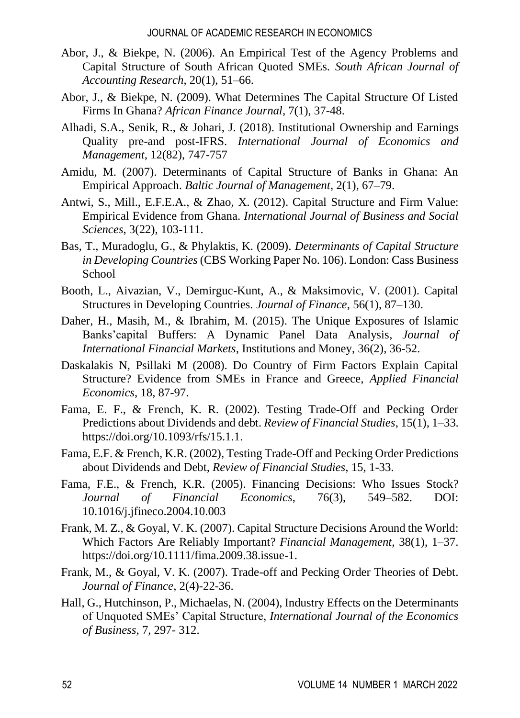- Abor, J., & Biekpe, N. (2006). An Empirical Test of the Agency Problems and Capital Structure of South African Quoted SMEs. *South African Journal of Accounting Research*, 20(1), 51–66.
- Abor, J., & Biekpe, N. (2009). What Determines The Capital Structure Of Listed Firms In Ghana? *African Finance Journal*, 7(1), 37-48.
- Alhadi, S.A., Senik, R., & Johari, J. (2018). Institutional Ownership and Earnings Quality pre-and post-IFRS. *International Journal of Economics and Management*, 12(82), 747-757
- Amidu, M. (2007). Determinants of Capital Structure of Banks in Ghana: An Empirical Approach. *Baltic Journal of Management*, 2(1), 67–79.
- Antwi, S., Mill., E.F.E.A., & Zhao, X. (2012). Capital Structure and Firm Value: Empirical Evidence from Ghana. *International Journal of Business and Social Sciences*, 3(22), 103-111.
- Bas, T., Muradoglu, G., & Phylaktis, K. (2009). *Determinants of Capital Structure in Developing Countries* (CBS Working Paper No. 106). London: Cass Business School
- Booth, L., Aivazian, V., Demirguc-Kunt, A., & Maksimovic, V. (2001). Capital Structures in Developing Countries. *Journal of Finance*, 56(1), 87–130.
- Daher, H., Masih, M., & Ibrahim, M. (2015). The Unique Exposures of Islamic Banks'capital Buffers: A Dynamic Panel Data Analysis, *Journal of International Financial Markets*, Institutions and Money, 36(2), 36-52.
- Daskalakis N, Psillaki M (2008). Do Country of Firm Factors Explain Capital Structure? Evidence from SMEs in France and Greece, *Applied Financial Economics*, 18, 87-97.
- Fama, E. F., & French, K. R. (2002). Testing Trade-Off and Pecking Order Predictions about Dividends and debt. *Review of Financial Studies*, 15(1), 1–33. [https://doi.org/10.1093/rfs/15.1.1.](https://doi.org/10.1093/rfs/15.1.1)
- Fama, E.F. & French, K.R. (2002), Testing Trade-Off and Pecking Order Predictions about Dividends and Debt, *Review of Financial Studies*, 15, 1-33.
- Fama, F.E., & French, K.R. (2005). Financing Decisions: Who Issues Stock? *Journal of Financial Economics*, 76(3), 549–582. DOI: 10.1016/j.jfineco.2004.10.003
- Frank, M. Z., & Goyal, V. K. (2007). Capital Structure Decisions Around the World: Which Factors Are Reliably Important? *Financial Management*, 38(1), 1–37. [https://doi.org/10.1111/fima.2009.38.issue-1.](https://doi.org/10.1111/fima.2009.38.issue-1)
- Frank, M., & Goyal, V. K. (2007). Trade-off and Pecking Order Theories of Debt. *Journal of Finance*, 2(4)-22-36.
- Hall, G., Hutchinson, P., Michaelas, N. (2004), Industry Effects on the Determinants of Unquoted SMEs' Capital Structure, *International Journal of the Economics of Business*, 7, 297- 312.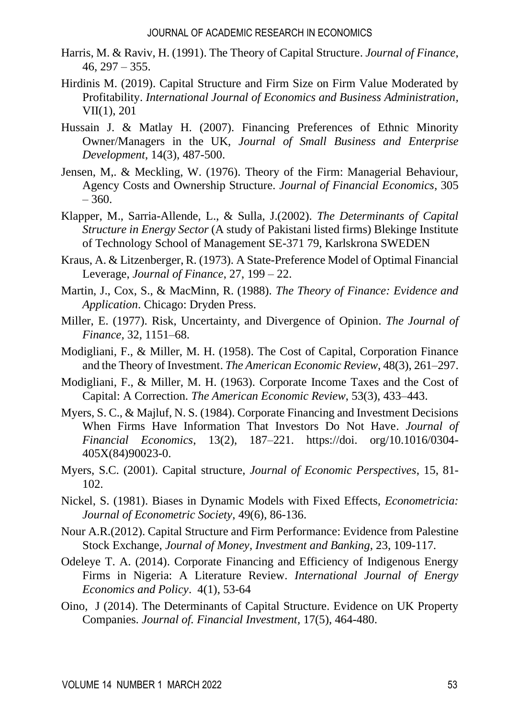- Harris, M. & Raviv, H. (1991). The Theory of Capital Structure. *Journal of Finance*,  $46, 297 - 355.$
- Hirdinis M. (2019). Capital Structure and Firm Size on Firm Value Moderated by Profitability. *International Journal of Economics and Business Administration,* VII(1), 201
- Hussain J. & Matlay H. (2007). Financing Preferences of Ethnic Minority Owner/Managers in the UK, *Journal of Small Business and Enterprise Development*, 14(3), 487-500.
- Jensen, M,. & Meckling, W. (1976). Theory of the Firm: Managerial Behaviour, Agency Costs and Ownership Structure. *Journal of Financial Economics*, 305  $-360.$
- Klapper, M., Sarria-Allende, L., & Sulla, J.(2002). *The Determinants of Capital Structure in Energy Sector* (A study of Pakistani listed firms) Blekinge Institute of Technology School of Management SE-371 79, Karlskrona SWEDEN
- Kraus, A. & Litzenberger, R. (1973). A State-Preference Model of Optimal Financial Leverage, *Journal of Finance*, 27, 199 – 22.
- Martin, J., Cox, S., & MacMinn, R. (1988). *The Theory of Finance: Evidence and Application*. Chicago: Dryden Press.
- Miller, E. (1977). Risk, Uncertainty, and Divergence of Opinion. *The Journal of Finance,* 32, 1151–68.
- Modigliani, F., & Miller, M. H. (1958). The Cost of Capital, Corporation Finance and the Theory of Investment. *The American Economic Review*, 48(3), 261–297.
- Modigliani, F., & Miller, M. H. (1963). Corporate Income Taxes and the Cost of Capital: A Correction. *The American Economic Review*, 53(3), 433–443.
- Myers, S. C., & Majluf, N. S. (1984). Corporate Financing and Investment Decisions When Firms Have Information That Investors Do Not Have. *Journal of Financial Economics*, 13(2), 187–221. https://doi. org/10.1016/0304- 405X(84)90023-0.
- Myers, S.C. (2001). Capital structure, *Journal of Economic Perspectives*, 15, 81- 102.
- Nickel, S. (1981). Biases in Dynamic Models with Fixed Effects*, Econometricia: Journal of Econometric Society*, 49(6), 86-136.
- Nour A.R.(2012). Capital Structure and Firm Performance: Evidence from Palestine Stock Exchange, *Journal of Money, Investment and Banking*, 23, 109-117.
- Odeleye T. A. (2014). Corporate Financing and Efficiency of Indigenous Energy Firms in Nigeria: A Literature Review. *International Journal of Energy Economics and Policy*. 4(1), 53-64
- Oino, J (2014). The Determinants of Capital Structure. Evidence on UK Property Companies. *Journal of. Financial Investment,* 17(5), 464-480.